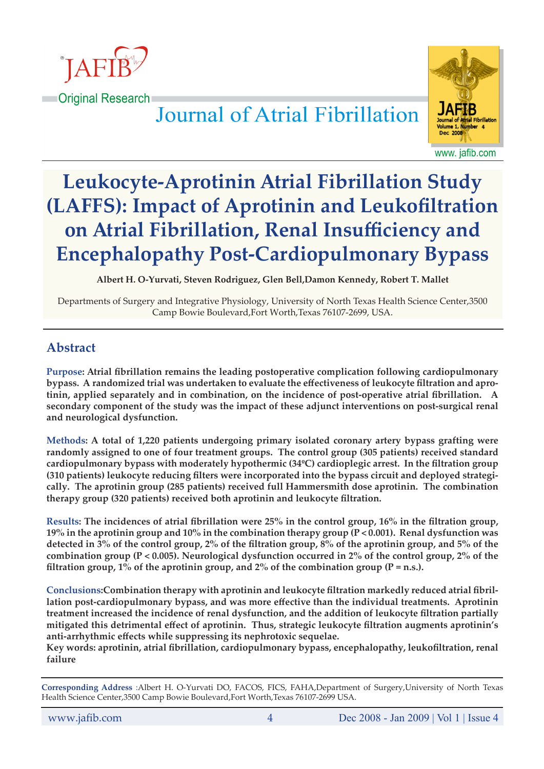

**Criginal Research** Journal of Atrial Fibrillation



www. jafib.com

# **Leukocyte-Aprotinin Atrial Fibrillation Study (LAFFS): Impact of Aprotinin and Leukofiltration on Atrial Fibrillation, Renal Insufficiency and Encephalopathy Post-Cardiopulmonary Bypass**

**Albert H. O-Yurvati, Steven Rodriguez, Glen Bell,Damon Kennedy, Robert T. Mallet**

Departments of Surgery and Integrative Physiology, University of North Texas Health Science Center,3500 Camp Bowie Boulevard,Fort Worth,Texas 76107-2699, USA.

# **Abstract**

**Purpose: Atrial fibrillation remains the leading postoperative complication following cardiopulmonary bypass. A randomized trial was undertaken to evaluate the effectiveness of leukocyte filtration and aprotinin, applied separately and in combination, on the incidence of post-operative atrial fibrillation. A secondary component of the study was the impact of these adjunct interventions on post-surgical renal and neurological dysfunction.**

**Methods: A total of 1,220 patients undergoing primary isolated coronary artery bypass grafting were randomly assigned to one of four treatment groups. The control group (305 patients) received standard cardiopulmonary bypass with moderately hypothermic (34ºC) cardioplegic arrest. In the filtration group (310 patients) leukocyte reducing filters were incorporated into the bypass circuit and deployed strategically. The aprotinin group (285 patients) received full Hammersmith dose aprotinin. The combination therapy group (320 patients) received both aprotinin and leukocyte filtration.**

**Results: The incidences of atrial fibrillation were 25% in the control group, 16% in the filtration group, 19% in the aprotinin group and 10% in the combination therapy group (P < 0.001). Renal dysfunction was detected in 3% of the control group, 2% of the filtration group, 8% of the aprotinin group, and 5% of the combination group (P < 0.005). Neurological dysfunction occurred in 2% of the control group, 2% of the filtration group, 1% of the aprotinin group, and 2% of the combination group (P = n.s.).** 

**Conclusions:Combination therapy with aprotinin and leukocyte filtration markedly reduced atrial fibrillation post-cardiopulmonary bypass, and was more effective than the individual treatments. Aprotinin treatment increased the incidence of renal dysfunction, and the addition of leukocyte filtration partially mitigated this detrimental effect of aprotinin. Thus, strategic leukocyte filtration augments aprotinin's anti-arrhythmic effects while suppressing its nephrotoxic sequelae.**

**Key words: aprotinin, atrial fibrillation, cardiopulmonary bypass, encephalopathy, leukofiltration, renal failure**

**Corresponding Address** :Albert H. O-Yurvati DO, FACOS, FICS, FAHA,Department of Surgery,University of North Texas Health Science Center,3500 Camp Bowie Boulevard,Fort Worth,Texas 76107-2699 USA.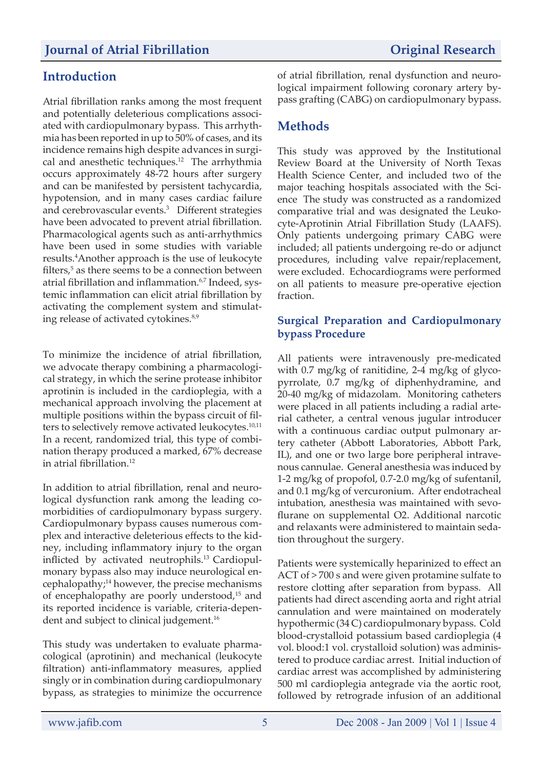# **Introduction**

Atrial fibrillation ranks among the most frequent and potentially deleterious complications associated with cardiopulmonary bypass. This arrhythmia has been reported in up to 50% of cases, and its incidence remains high despite advances in surgical and anesthetic techniques.<sup>12</sup> The arrhythmia occurs approximately 48-72 hours after surgery and can be manifested by persistent tachycardia, hypotension, and in many cases cardiac failure and cerebrovascular events.3 Different strategies have been advocated to prevent atrial fibrillation. Pharmacological agents such as anti-arrhythmics have been used in some studies with variable results.4 Another approach is the use of leukocyte filters,<sup>5</sup> as there seems to be a connection between atrial fibrillation and inflammation.<sup>6,7</sup> Indeed, systemic inflammation can elicit atrial fibrillation by activating the complement system and stimulating release of activated cytokines.<sup>8,9</sup>

To minimize the incidence of atrial fibrillation, we advocate therapy combining a pharmacological strategy, in which the serine protease inhibitor aprotinin is included in the cardioplegia, with a mechanical approach involving the placement at multiple positions within the bypass circuit of filters to selectively remove activated leukocytes.<sup>10,11</sup> In a recent, randomized trial, this type of combination therapy produced a marked, 67% decrease in atrial fibrillation.<sup>12</sup>

In addition to atrial fibrillation, renal and neurological dysfunction rank among the leading comorbidities of cardiopulmonary bypass surgery. Cardiopulmonary bypass causes numerous complex and interactive deleterious effects to the kidney, including inflammatory injury to the organ inflicted by activated neutrophils.<sup>13</sup> Cardiopulmonary bypass also may induce neurological encephalopathy;<sup>14</sup> however, the precise mechanisms of encephalopathy are poorly understood,15 and its reported incidence is variable, criteria-dependent and subject to clinical judgement.<sup>16</sup>

This study was undertaken to evaluate pharmacological (aprotinin) and mechanical (leukocyte filtration) anti-inflammatory measures, applied singly or in combination during cardiopulmonary bypass, as strategies to minimize the occurrence of atrial fibrillation, renal dysfunction and neurological impairment following coronary artery bypass grafting (CABG) on cardiopulmonary bypass.

# **Methods**

This study was approved by the Institutional Review Board at the University of North Texas Health Science Center, and included two of the major teaching hospitals associated with the Science The study was constructed as a randomized comparative trial and was designated the Leukocyte-Aprotinin Atrial Fibrillation Study (LAAFS). Only patients undergoing primary CABG were included; all patients undergoing re-do or adjunct procedures, including valve repair/replacement, were excluded. Echocardiograms were performed on all patients to measure pre-operative ejection fraction.

#### **Surgical Preparation and Cardiopulmonary bypass Procedure**

All patients were intravenously pre-medicated with 0.7 mg/kg of ranitidine, 2-4 mg/kg of glycopyrrolate, 0.7 mg/kg of diphenhydramine, and 20-40 mg/kg of midazolam. Monitoring catheters were placed in all patients including a radial arterial catheter, a central venous jugular introducer with a continuous cardiac output pulmonary artery catheter (Abbott Laboratories, Abbott Park, IL), and one or two large bore peripheral intravenous cannulae. General anesthesia was induced by 1-2 mg/kg of propofol, 0.7-2.0 mg/kg of sufentanil, and 0.1 mg/kg of vercuronium. After endotracheal intubation, anesthesia was maintained with sevoflurane on supplemental O2. Additional narcotic and relaxants were administered to maintain sedation throughout the surgery.

Patients were systemically heparinized to effect an ACT of > 700 s and were given protamine sulfate to restore clotting after separation from bypass. All patients had direct ascending aorta and right atrial cannulation and were maintained on moderately hypothermic (34 C) cardiopulmonary bypass. Cold blood-crystalloid potassium based cardioplegia (4 vol. blood:1 vol. crystalloid solution) was administered to produce cardiac arrest. Initial induction of cardiac arrest was accomplished by administering 500 ml cardioplegia antegrade via the aortic root, followed by retrograde infusion of an additional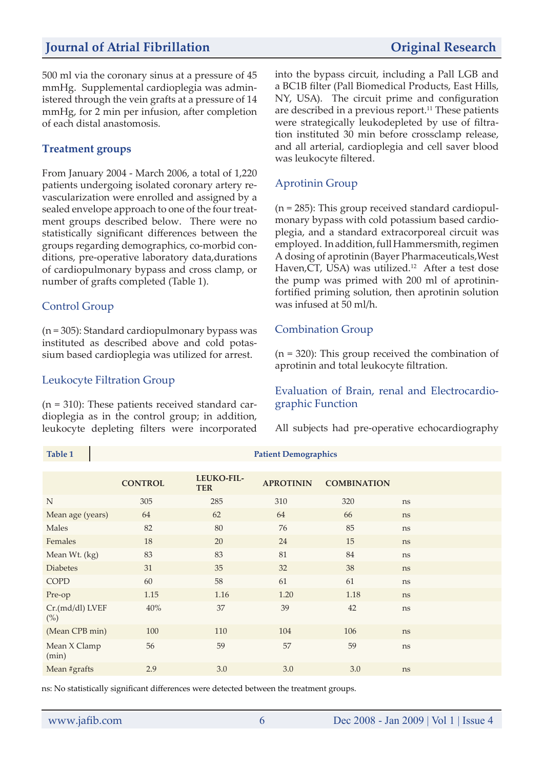# *Journal of Atrial Fibrillation Original Research*

500 ml via the coronary sinus at a pressure of 45 mmHg. Supplemental cardioplegia was administered through the vein grafts at a pressure of 14 mmHg, for 2 min per infusion, after completion of each distal anastomosis.

#### **Treatment groups**

From January 2004 - March 2006, a total of 1,220 patients undergoing isolated coronary artery revascularization were enrolled and assigned by a sealed envelope approach to one of the four treatment groups described below. There were no statistically significant differences between the groups regarding demographics, co-morbid conditions, pre-operative laboratory data,durations of cardiopulmonary bypass and cross clamp, or number of grafts completed (Table 1).

#### Control Group

(n = 305): Standard cardiopulmonary bypass was instituted as described above and cold potassium based cardioplegia was utilized for arrest.

#### Leukocyte Filtration Group

(n = 310): These patients received standard cardioplegia as in the control group; in addition, leukocyte depleting filters were incorporated into the bypass circuit, including a Pall LGB and a BC1B filter (Pall Biomedical Products, East Hills, NY, USA). The circuit prime and configuration are described in a previous report.<sup>11</sup> These patients were strategically leukodepleted by use of filtration instituted 30 min before crossclamp release, and all arterial, cardioplegia and cell saver blood was leukocyte filtered.

#### Aprotinin Group

(n = 285): This group received standard cardiopulmonary bypass with cold potassium based cardioplegia, and a standard extracorporeal circuit was employed. In addition, full Hammersmith, regimen A dosing of aprotinin (Bayer Pharmaceuticals,West Haven, CT, USA) was utilized.<sup>12</sup> After a test dose the pump was primed with 200 ml of aprotininfortified priming solution, then aprotinin solution was infused at 50 ml/h.

#### Combination Group

(n = 320): This group received the combination of aprotinin and total leukocyte filtration.

#### Evaluation of Brain, renal and Electrocardiographic Function

All subjects had pre-operative echocardiography

|                           | <b>CONTROL</b> | LEUKO-FIL-<br><b>TER</b> | <b>APROTININ</b> | <b>COMBINATION</b> |    |
|---------------------------|----------------|--------------------------|------------------|--------------------|----|
| N                         | 305            | 285                      | 310              | 320                | ns |
| Mean age (years)          | 64             | 62                       | 64               | 66                 | ns |
| Males                     | 82             | 80                       | 76               | 85                 | ns |
| Females                   | 18             | 20                       | 24               | 15                 | ns |
| Mean Wt. (kg)             | 83             | 83                       | 81               | 84                 | ns |
| <b>Diabetes</b>           | 31             | 35                       | 32               | 38                 | ns |
| <b>COPD</b>               | 60             | 58                       | 61               | 61                 | ns |
| Pre-op                    | 1.15           | 1.16                     | 1.20             | 1.18               | ns |
| Cr.(md/dl) LVEF<br>$(\%)$ | 40%            | 37                       | 39               | 42                 | ns |
| (Mean CPB min)            | 100            | 110                      | 104              | 106                | ns |
| Mean X Clamp<br>(min)     | 56             | 59                       | 57               | 59                 | ns |
| Mean #grafts              | 2.9            | 3.0                      | 3.0              | 3.0                | ns |

**Table 1 Patient Demographics** 

ns: No statistically significant differences were detected between the treatment groups.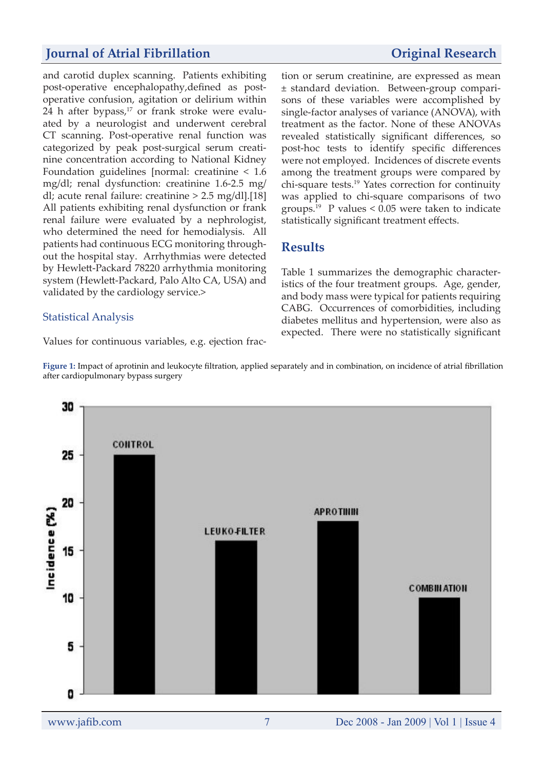### **Journal of Atrial Fibrillation** *Original Research*

and carotid duplex scanning. Patients exhibiting post-operative encephalopathy,defined as postoperative confusion, agitation or delirium within 24 h after bypass, $17$  or frank stroke were evaluated by a neurologist and underwent cerebral CT scanning. Post-operative renal function was categorized by peak post-surgical serum creatinine concentration according to National Kidney Foundation guidelines [normal: creatinine < 1.6 mg/dl; renal dysfunction: creatinine 1.6-2.5 mg/ dl; acute renal failure: creatinine > 2.5 mg/dl].[18] All patients exhibiting renal dysfunction or frank renal failure were evaluated by a nephrologist, who determined the need for hemodialysis. All patients had continuous ECG monitoring throughout the hospital stay. Arrhythmias were detected by Hewlett-Packard 78220 arrhythmia monitoring system (Hewlett-Packard, Palo Alto CA, USA) and validated by the cardiology service.>

#### Statistical Analysis

Values for continuous variables, e.g. ejection frac-

tion or serum creatinine, are expressed as mean ± standard deviation. Between-group comparisons of these variables were accomplished by single-factor analyses of variance (ANOVA), with treatment as the factor. None of these ANOVAs revealed statistically significant differences, so post-hoc tests to identify specific differences were not employed. Incidences of discrete events among the treatment groups were compared by chi-square tests.19 Yates correction for continuity was applied to chi-square comparisons of two groups.<sup>19</sup> P values  $\leq 0.05$  were taken to indicate statistically significant treatment effects.

### **Results**

Table 1 summarizes the demographic characteristics of the four treatment groups. Age, gender, and body mass were typical for patients requiring CABG. Occurrences of comorbidities, including diabetes mellitus and hypertension, were also as expected. There were no statistically significant



**Figure 1:** Impact of aprotinin and leukocyte filtration, applied separately and in combination, on incidence of atrial fibrillation after cardiopulmonary bypass surgery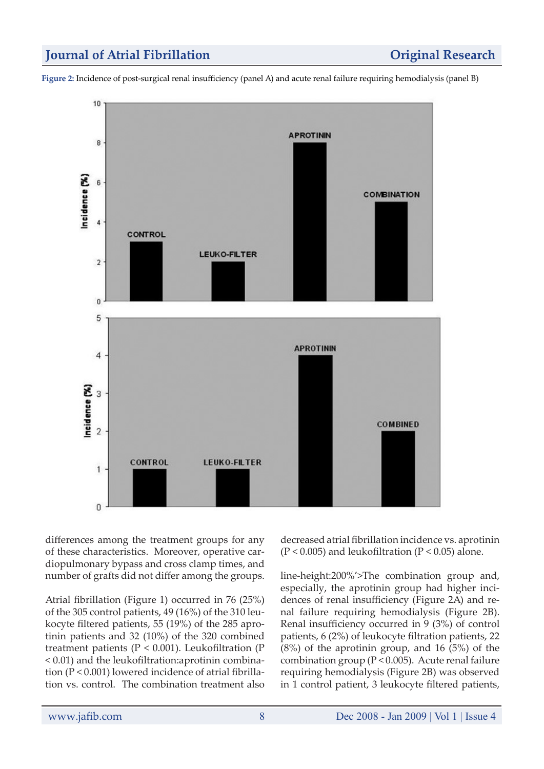## *Journal of Atrial Fibrillation* **<b>***Original Research*

**Figure 2:** Incidence of post-surgical renal insufficiency (panel A) and acute renal failure requiring hemodialysis (panel B)



differences among the treatment groups for any of these characteristics. Moreover, operative cardiopulmonary bypass and cross clamp times, and number of grafts did not differ among the groups.

Atrial fibrillation (Figure 1) occurred in 76 (25%) of the 305 control patients, 49 (16%) of the 310 leukocyte filtered patients, 55 (19%) of the 285 aprotinin patients and 32 (10%) of the 320 combined treatment patients ( $P < 0.001$ ). Leukofiltration ( $P$ < 0.01) and the leukofiltration:aprotinin combination (P < 0.001) lowered incidence of atrial fibrillation vs. control. The combination treatment also

decreased atrial fibrillation incidence vs. aprotinin  $(P < 0.005)$  and leukofiltration  $(P < 0.05)$  alone.

line-height:200%'>The combination group and, especially, the aprotinin group had higher incidences of renal insufficiency (Figure 2A) and renal failure requiring hemodialysis (Figure 2B). Renal insufficiency occurred in 9 (3%) of control patients, 6 (2%) of leukocyte filtration patients, 22 (8%) of the aprotinin group, and 16 (5%) of the combination group ( $P < 0.005$ ). Acute renal failure requiring hemodialysis (Figure 2B) was observed in 1 control patient, 3 leukocyte filtered patients,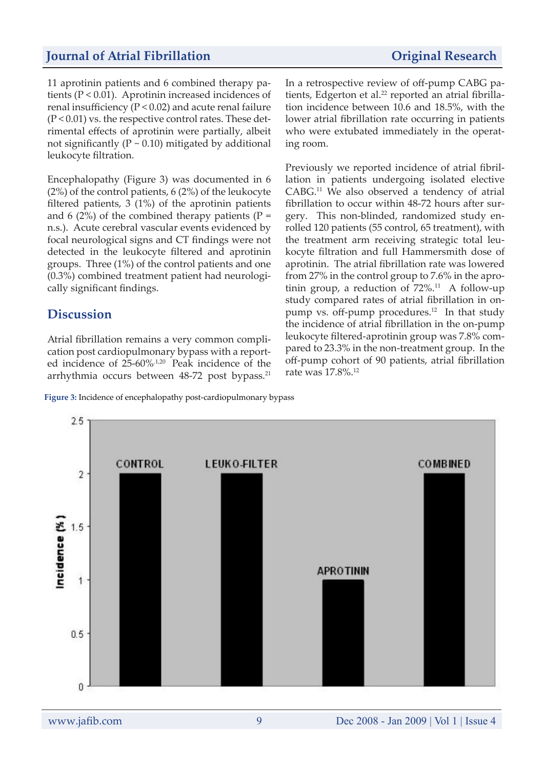#### *Journal of Atrial Fibrillation* **<b>***Original Research*

11 aprotinin patients and 6 combined therapy patients (P < 0.01). Aprotinin increased incidences of renal insufficiency (P < 0.02) and acute renal failure  $(P < 0.01)$  vs. the respective control rates. These detrimental effects of aprotinin were partially, albeit not significantly ( $P \sim 0.10$ ) mitigated by additional leukocyte filtration.

Encephalopathy (Figure 3) was documented in 6 (2%) of the control patients, 6 (2%) of the leukocyte filtered patients, 3 (1%) of the aprotinin patients and 6 (2%) of the combined therapy patients ( $P =$ n.s.). Acute cerebral vascular events evidenced by focal neurological signs and CT findings were not detected in the leukocyte filtered and aprotinin groups. Three (1%) of the control patients and one (0.3%) combined treatment patient had neurologically significant findings.

## **Discussion**

Atrial fibrillation remains a very common complication post cardiopulmonary bypass with a reported incidence of 25-60%.1,20 Peak incidence of the arrhythmia occurs between 48-72 post bypass.<sup>21</sup>

In a retrospective review of off-pump CABG patients, Edgerton et al.<sup>22</sup> reported an atrial fibrillation incidence between 10.6 and 18.5%, with the lower atrial fibrillation rate occurring in patients who were extubated immediately in the operating room.

Previously we reported incidence of atrial fibrillation in patients undergoing isolated elective CABG.11 We also observed a tendency of atrial fibrillation to occur within 48-72 hours after surgery. This non-blinded, randomized study enrolled 120 patients (55 control, 65 treatment), with the treatment arm receiving strategic total leukocyte filtration and full Hammersmith dose of aprotinin. The atrial fibrillation rate was lowered from 27% in the control group to 7.6% in the aprotinin group, a reduction of  $72\%$ .<sup>11</sup> A follow-up study compared rates of atrial fibrillation in onpump vs. off-pump procedures.<sup>12</sup> In that study the incidence of atrial fibrillation in the on-pump leukocyte filtered-aprotinin group was 7.8% compared to 23.3% in the non-treatment group. In the off-pump cohort of 90 patients, atrial fibrillation rate was 17.8%.12



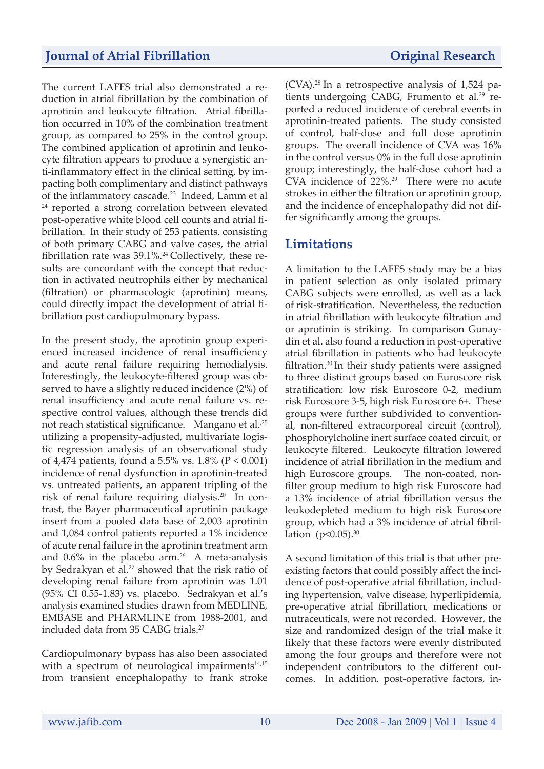The current LAFFS trial also demonstrated a reduction in atrial fibrillation by the combination of aprotinin and leukocyte filtration. Atrial fibrillation occurred in 10% of the combination treatment group, as compared to 25% in the control group. The combined application of aprotinin and leukocyte filtration appears to produce a synergistic anti-inflammatory effect in the clinical setting, by impacting both complimentary and distinct pathways of the inflammatory cascade.23 Indeed, Lamm et al 24 reported a strong correlation between elevated post-operative white blood cell counts and atrial fibrillation. In their study of 253 patients, consisting of both primary CABG and valve cases, the atrial fibrillation rate was  $39.1\%$ .<sup>24</sup> Collectively, these results are concordant with the concept that reduction in activated neutrophils either by mechanical (filtration) or pharmacologic (aprotinin) means, could directly impact the development of atrial fibrillation post cardiopulmonary bypass.

In the present study, the aprotinin group experienced increased incidence of renal insufficiency and acute renal failure requiring hemodialysis. Interestingly, the leukocyte-filtered group was observed to have a slightly reduced incidence (2%) of renal insufficiency and acute renal failure vs. respective control values, although these trends did not reach statistical significance. Mangano et al.<sup>25</sup> utilizing a propensity-adjusted, multivariate logistic regression analysis of an observational study of 4,474 patients, found a 5.5% vs. 1.8% (P < 0.001) incidence of renal dysfunction in aprotinin-treated vs. untreated patients, an apparent tripling of the risk of renal failure requiring dialysis.20 In contrast, the Bayer pharmaceutical aprotinin package insert from a pooled data base of 2,003 aprotinin and 1,084 control patients reported a 1% incidence of acute renal failure in the aprotinin treatment arm and  $0.6\%$  in the placebo arm.<sup>26</sup> A meta-analysis by Sedrakyan et al.<sup>27</sup> showed that the risk ratio of developing renal failure from aprotinin was 1.01 (95% CI 0.55-1.83) vs. placebo. Sedrakyan et al.'s analysis examined studies drawn from MEDLINE, EMBASE and PHARMLINE from 1988-2001, and included data from 35 CABG trials.<sup>27</sup>

Cardiopulmonary bypass has also been associated with a spectrum of neurological impairments $14,15$ from transient encephalopathy to frank stroke  $(CVA).^{28}$  In a retrospective analysis of 1,524 patients undergoing CABG, Frumento et al.<sup>29</sup> reported a reduced incidence of cerebral events in aprotinin-treated patients. The study consisted of control, half-dose and full dose aprotinin groups. The overall incidence of CVA was 16% in the control versus 0% in the full dose aprotinin group; interestingly, the half-dose cohort had a CVA incidence of 22%.<sup>29</sup> There were no acute strokes in either the filtration or aprotinin group, and the incidence of encephalopathy did not differ significantly among the groups.

## **Limitations**

A limitation to the LAFFS study may be a bias in patient selection as only isolated primary CABG subjects were enrolled, as well as a lack of risk-stratification. Nevertheless, the reduction in atrial fibrillation with leukocyte filtration and or aprotinin is striking. In comparison Gunaydin et al. also found a reduction in post-operative atrial fibrillation in patients who had leukocyte filtration.30 In their study patients were assigned to three distinct groups based on Euroscore risk stratification: low risk Euroscore 0-2, medium risk Euroscore 3-5, high risk Euroscore 6+. These groups were further subdivided to conventional, non-filtered extracorporeal circuit (control), phosphorylcholine inert surface coated circuit, or leukocyte filtered. Leukocyte filtration lowered incidence of atrial fibrillation in the medium and high Euroscore groups. The non-coated, nonfilter group medium to high risk Euroscore had a 13% incidence of atrial fibrillation versus the leukodepleted medium to high risk Euroscore group, which had a 3% incidence of atrial fibrillation  $(p<0.05)$ .<sup>30</sup>

A second limitation of this trial is that other preexisting factors that could possibly affect the incidence of post-operative atrial fibrillation, including hypertension, valve disease, hyperlipidemia, pre-operative atrial fibrillation, medications or nutraceuticals, were not recorded. However, the size and randomized design of the trial make it likely that these factors were evenly distributed among the four groups and therefore were not independent contributors to the different outcomes. In addition, post-operative factors, in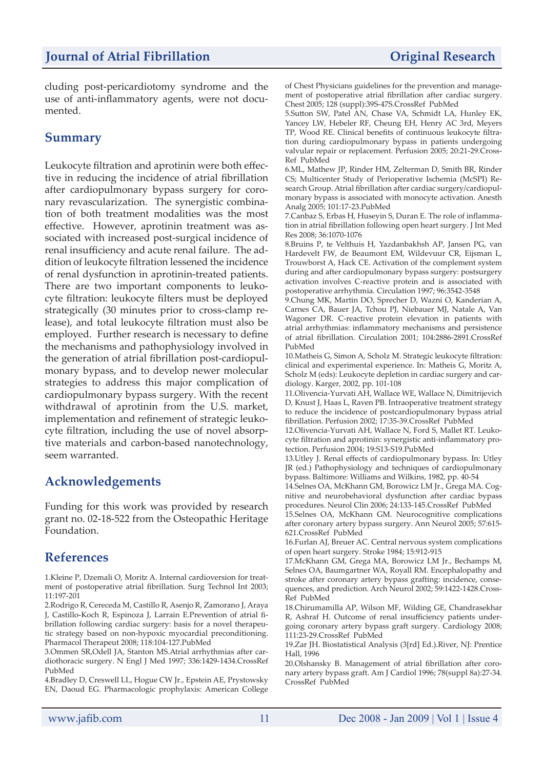cluding post-pericardiotomy syndrome and the use of anti-inflammatory agents, were not documented.

## **Summary**

Leukocyte filtration and aprotinin were both effective in reducing the incidence of atrial fibrillation after cardiopulmonary bypass surgery for coronary revascularization. The synergistic combination of both treatment modalities was the most effective. However, aprotinin treatment was associated with increased post-surgical incidence of renal insufficiency and acute renal failure. The addition of leukocyte filtration lessened the incidence of renal dysfunction in aprotinin-treated patients. There are two important components to leukocyte filtration: leukocyte filters must be deployed strategically (30 minutes prior to cross-clamp release), and total leukocyte filtration must also be employed. Further research is necessary to define the mechanisms and pathophysiology involved in the generation of atrial fibrillation post-cardiopulmonary bypass, and to develop newer molecular strategies to address this major complication of cardiopulmonary bypass surgery. With the recent withdrawal of aprotinin from the U.S. market, implementation and refinement of strategic leukocyte filtration, including the use of novel absorptive materials and carbon-based nanotechnology, seem warranted.

# **Acknowledgements**

Funding for this work was provided by research grant no. 02-18-522 from the Osteopathic Heritage Foundation.

## **References**

1.Kleine P, Dzemali O, Moritz A. Internal cardioversion for treatment of postoperative atrial fibrillation. Surg Technol Int 2003; 11:197-201

2.Rodrigo R, Cereceda M, Castillo R, Asenjo R, Zamorano J, Araya J, Castillo-Koch R, Espinoza J, Larrain E.Prevention of atrial fibrillation following cardiac surgery: basis for a novel therapeutic strategy based on non-hypoxic myocardial preconditioning. Pharmacol Therapeut 2008; 118:104-127.PubMed

3.Ommen SR,Odell JA, Stanton MS.Atrial arrhythmias after cardiothoracic surgery. N Engl J Med 1997; 336:1429-1434.CrossRef PubMed

4.Bradley D, Creswell LL, Hogue CW Jr., Epstein AE, Prystowsky EN, Daoud EG. Pharmacologic prophylaxis: American College of Chest Physicians guidelines for the prevention and management of postoperative atrial fibrillation after cardiac surgery. Chest 2005; 128 (suppl):39S-47S.CrossRef PubMed

5.Sutton SW, Patel AN, Chase VA, Schmidt LA, Hunley EK, Yancey LW, Hebeler RF, Cheung EH, Henry AC 3rd, Meyers TP, Wood RE. Clinical benefits of continuous leukocyte filtration during cardiopulmonary bypass in patients undergoing valvular repair or replacement. Perfusion 2005; 20:21-29.Cross-Ref PubMed

6.ML, Mathew JP, Rinder HM, Zelterman D, Smith BR, Rinder CS; Multicenter Study of Perioperative Ischemia (McSPI) Research Group. Atrial fibrillation after cardiac surgery/cardiopulmonary bypass is associated with monocyte activation. Anesth Analg 2005; 101:17-23.PubMed

7.Canbaz S, Erbas H, Huseyin S, Duran E. The role of inflammation in atrial fibrillation following open heart surgery. J Int Med Res 2008; 36:1070-1076

8.Bruins P, te Velthuis H, Yazdanbakhsh AP, Jansen PG, van Hardevelt FW, de Beaumont EM, Wildevuur CR, Eijsman L, Trouwborst A, Hack CE. Activation of the complement system during and after cardiopulmonary bypass surgery: postsurgery activation involves C-reactive protein and is associated with postoperative arrhythmia. Circulation 1997; 96:3542-3548

9.Chung MK, Martin DO, Sprecher D, Wazni O, Kanderian A, Carnes CA, Bauer JA, Tchou PJ, Niebauer MJ, Natale A, Van Wagoner DR. C-reactive protein elevation in patients with atrial arrhythmias: inflammatory mechanisms and persistence of atrial fibrillation. Circulation 2001; 104:2886-2891.CrossRef PubMed

10.Matheis G, Simon A, Scholz M. Strategic leukocyte filtration: clinical and experimental experience. In: Matheis G, Moritz A, Scholz M (eds): Leukocyte depletion in cardiac surgery and cardiology. Karger, 2002, pp. 101-108

11.Olivencia-Yurvati AH, Wallace WE, Wallace N, Dimitrijevich D, Knust J, Haas L, Raven PB. Intraoperative treatment strategy to reduce the incidence of postcardiopulmonary bypass atrial fibrillation. Perfusion 2002; 17:35-39.CrossRef PubMed

12.Olivencia-Yurvati AH, Wallace N, Ford S, Mallet RT. Leukocyte filtration and aprotinin: synergistic anti-inflammatory protection. Perfusion 2004; 19:S13-S19.PubMed

13.Utley J. Renal effects of cardiopulmonary bypass. In: Utley JR (ed.) Pathophysiology and techniques of cardiopulmonary bypass. Baltimore: Williams and Wilkins, 1982, pp. 40-54

14.Selnes OA, McKhann GM, Borowicz LM Jr., Grega MA. Cognitive and neurobehavioral dysfunction after cardiac bypass procedures. Neurol Clin 2006; 24:133-145.CrossRef PubMed

15.Selnes OA, McKhann GM. Neurocognitive complications after coronary artery bypass surgery. Ann Neurol 2005; 57:615- 621.CrossRef PubMed

16.Furlan AJ, Breuer AC. Central nervous system complications of open heart surgery. Stroke 1984; 15:912-915

17.McKhann GM, Grega MA, Borowicz LM Jr., Bechamps M, Selnes OA, Baumgartner WA, Royall RM. Encephalopathy and stroke after coronary artery bypass grafting: incidence, consequences, and prediction. Arch Neurol 2002; 59:1422-1428.Cross-Ref PubMed

18.Chirumamilla AP, Wilson MF, Wilding GE, Chandrasekhar R, Ashraf H. Outcome of renal insufficiency patients undergoing coronary artery bypass graft surgery. Cardiology 2008; 111:23-29.CrossRef PubMed

19.Zar JH. Biostatistical Analysis (3[rd] Ed.).River, NJ: Prentice Hall, 1996

20.Olshansky B. Management of atrial fibrillation after coronary artery bypass graft. Am J Cardiol 1996; 78(suppl 8a):27-34. CrossRef PubMed